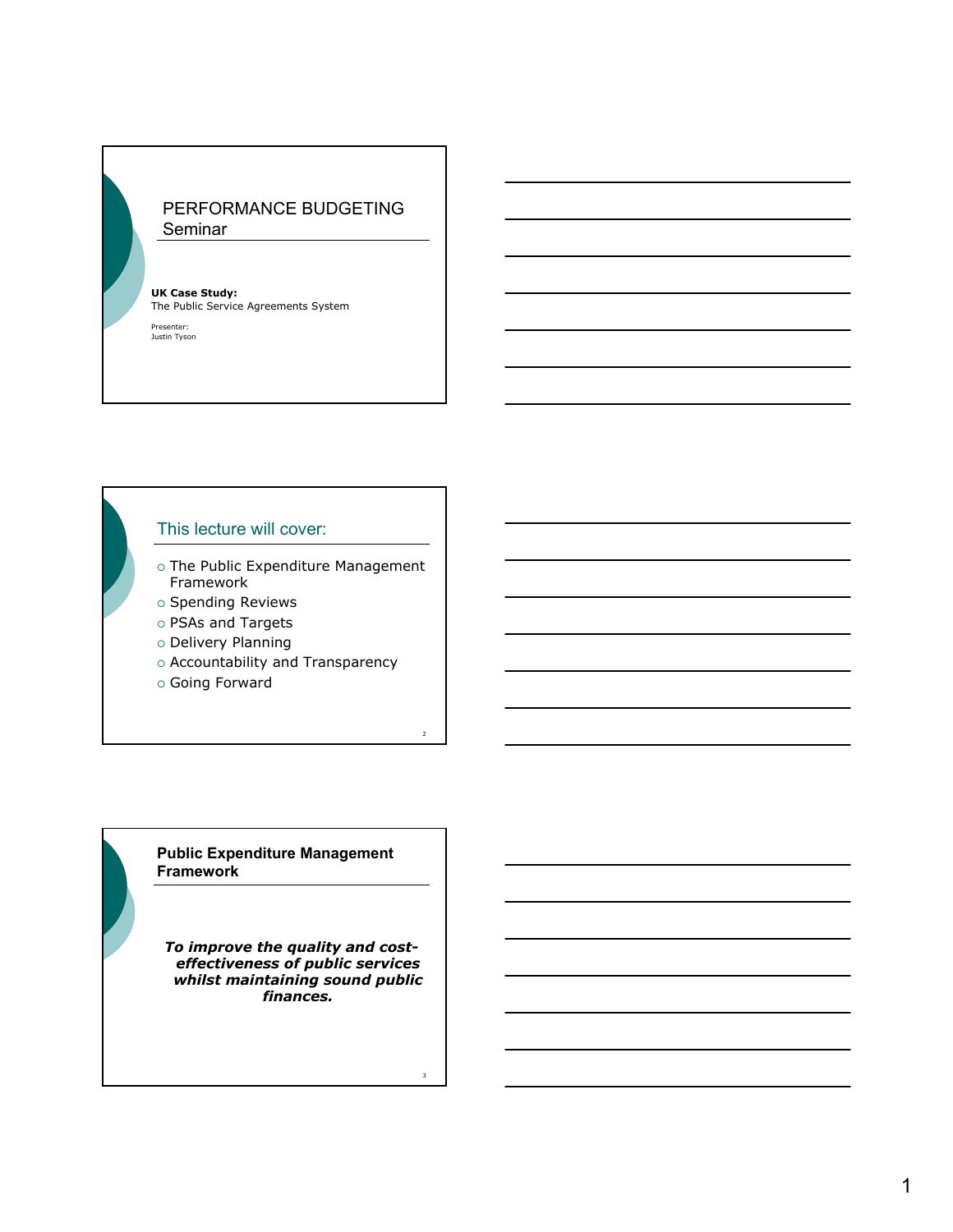## PERFORMANCE BUDGETING Seminar

**UK Case Study:** The Public Service Agreements System

Presenter: Justin Tyson

## This lecture will cover:

- o The Public Expenditure Management Framework
- $\circ$  Spending Reviews
- { PSAs and Targets
- o Delivery Planning
- o Accountability and Transparency

 $\overline{2}$ 

3

{ Going Forward

**Public Expenditure Management Framework**

*To improve the quality and costeffectiveness of public services whilst maintaining sound public finances.*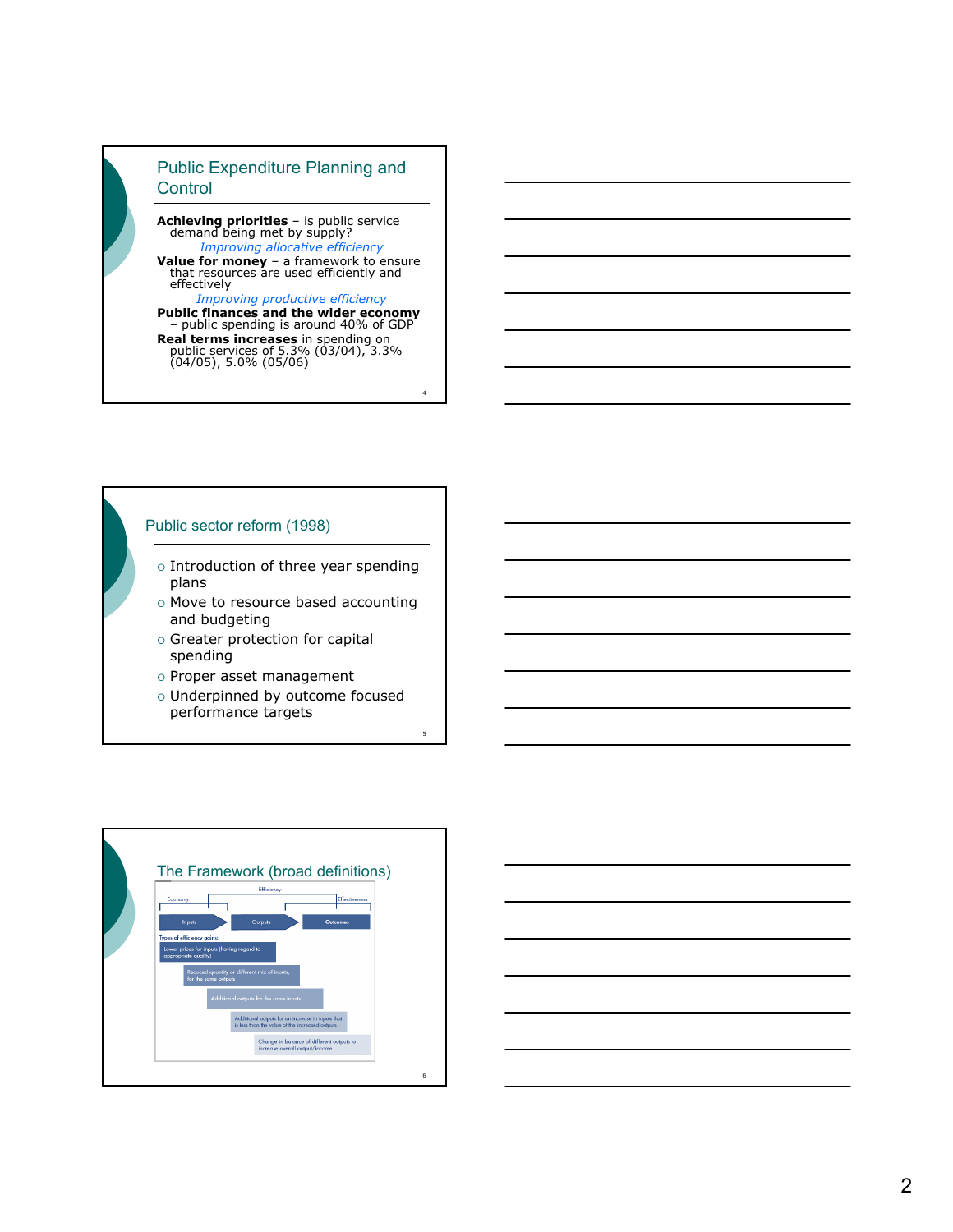## Public Expenditure Planning and **Control**

**Achieving priorities** – is public service demand being met by supply? *Improving allocative efficiency* **Value for money** – a framework to ensure<br>that resources are used efficiently and<br>effectively

*Improving productive efficiency* **Public finances and the wider economy** – public spending is around 40% of GDP

**Real terms increases** in spending on<br>public services of 5.3% (03/04), 3.3%<br>(04/05), 5.0% (05/06)

4

5

### Public sector reform (1998)

- $\circ$  Introduction of three year spending plans
- o Move to resource based accounting and budgeting
- o Greater protection for capital spending
- $\circ$  Proper asset management
- o Underpinned by outcome focused performance targets



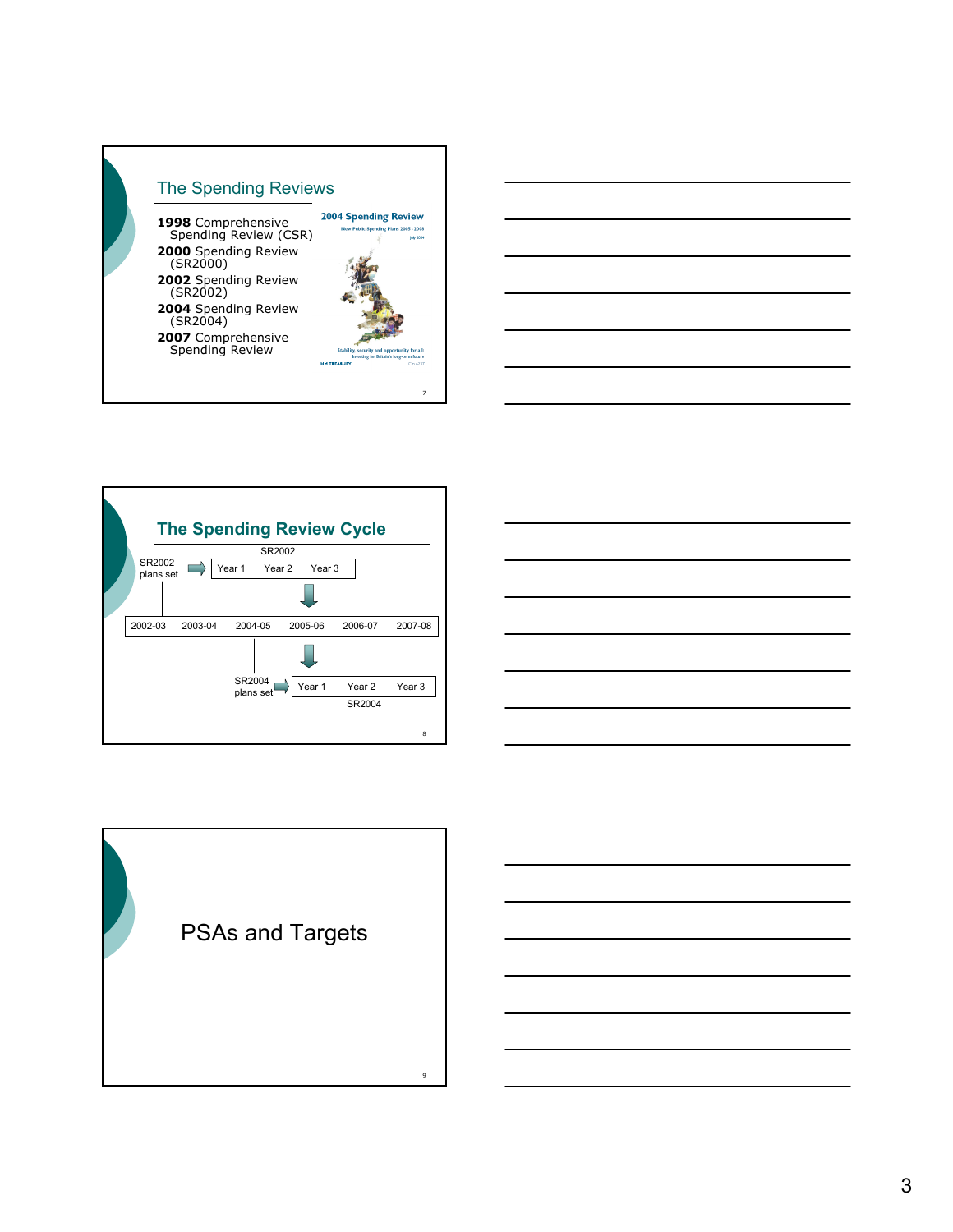





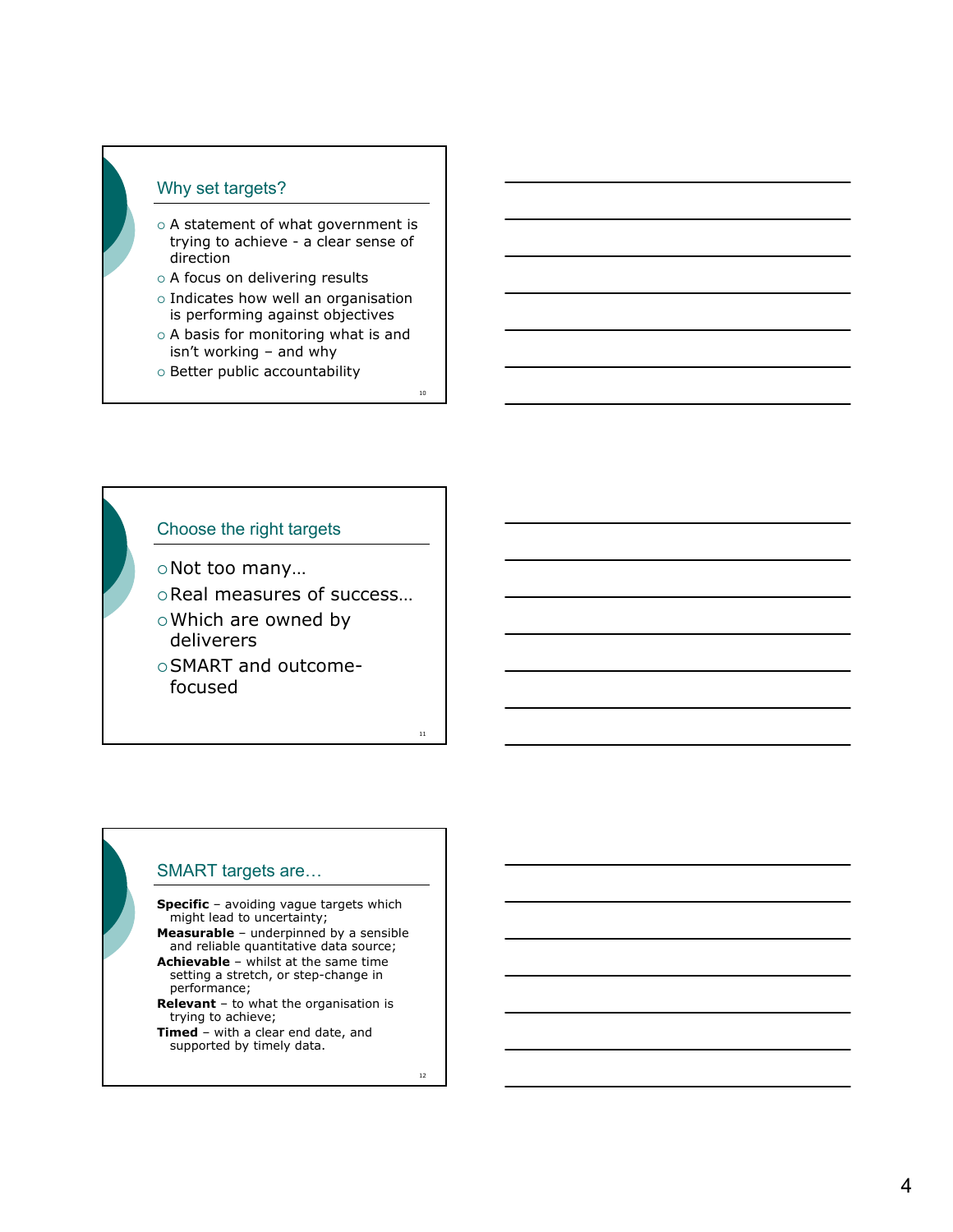## Why set targets?

- $\circ$  A statement of what government is trying to achieve - a clear sense of direction
- $\circ$  A focus on delivering results
- $\circ$  Indicates how well an organisation is performing against objectives
- $\circ$  A basis for monitoring what is and isn't working – and why
- o Better public accountability

## Choose the right targets

{Not too many…

- {Real measures of success…
- o Which are owned by deliverers
- {SMART and outcomefocused

## SMART targets are…

**Specific** – avoiding vague targets which might lead to uncertainty; **Measurable** – underpinned by a sensible and reliable quantitative data source;

- **Achievable** whilst at the same time setting a stretch, or step-change in performance;
- **Relevant** to what the organisation is trying to achieve;
- **Timed** with a clear end date, and supported by timely data.

12

10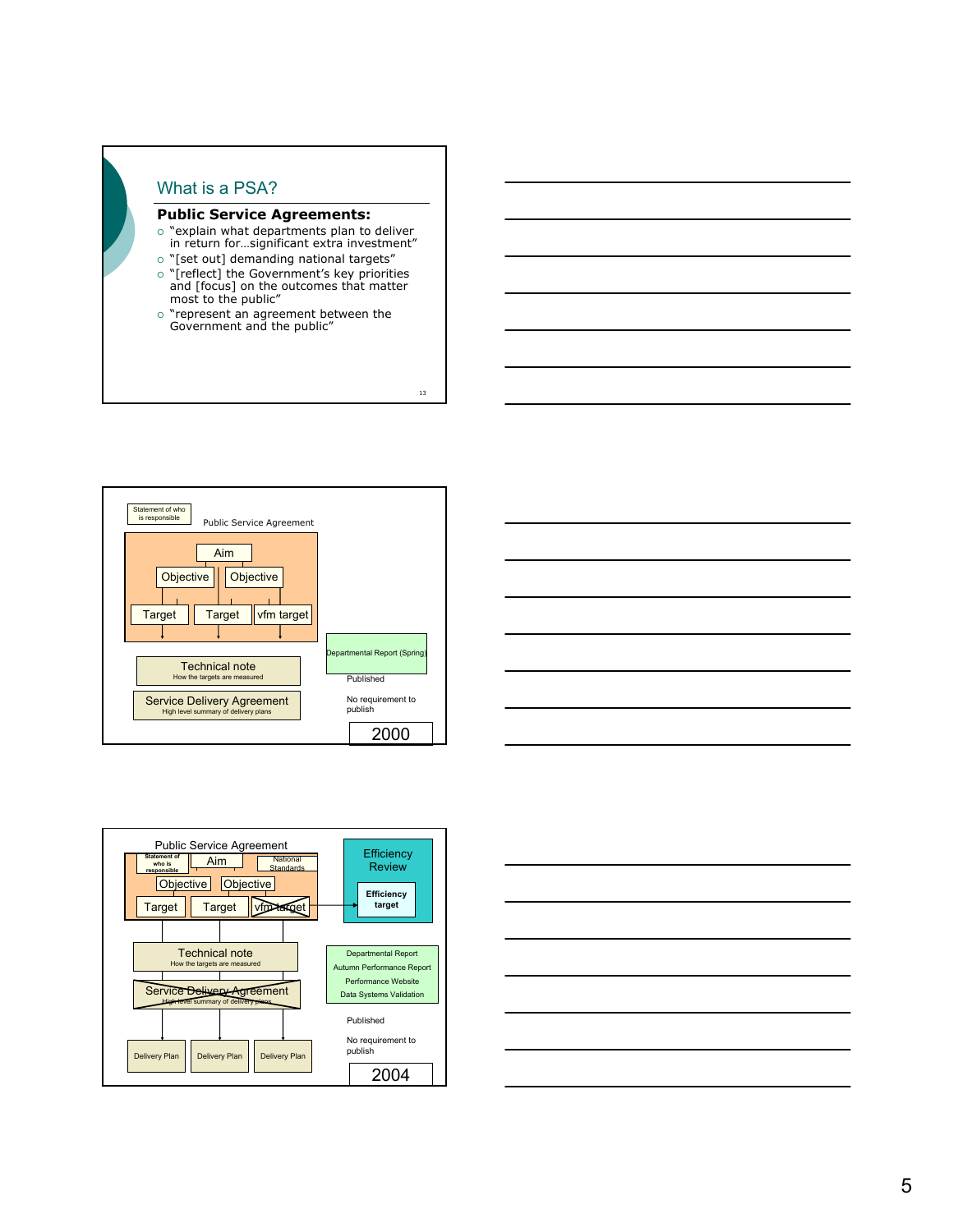







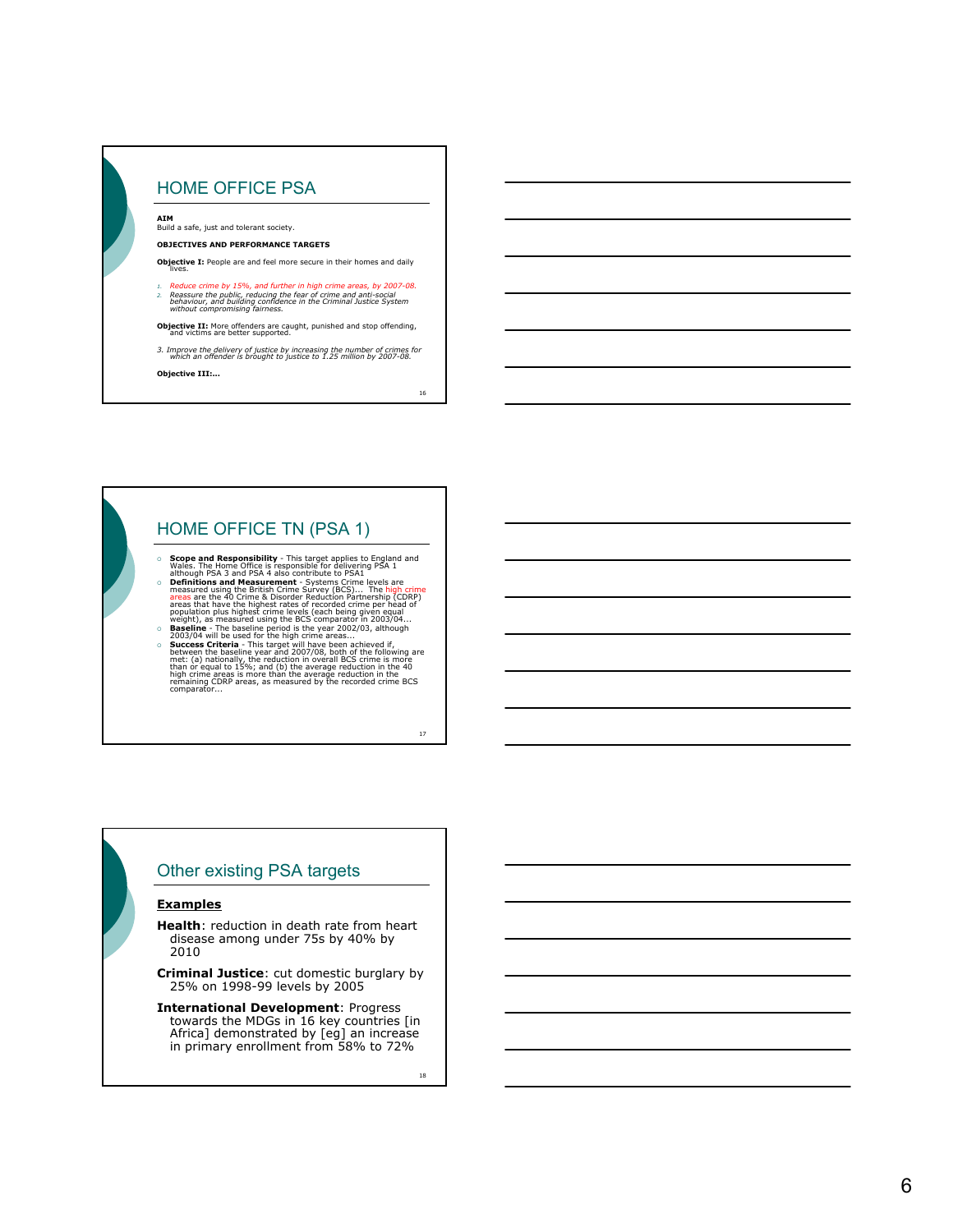

16

## HOME OFFICE TN (PSA 1)

- Scope and Responsibility This target applies to England and<br>
Vales. The Home Office is responsible for delivering PSA 1<br>
although PSA 3 and PSA 4 also contribute to PSA1<br>
Definitions and Measurement Systems Crime leve
- population plus highest crime levels (each being given equal<br>weight), as measured using the BCS comparator in 2003/04...
- { **Baseline** The baseline period is the year 2002/03, although 2003/04 will be used for the high crime areas... **Success Criteria** - This target will have been achieved if,<br>between the baseline year and 2007/08, both of the following are<br>met: (a) nationally, the reduction in overall BCS crime is more<br>than or equal to 15%; and (b) t

17

## Other existing PSA targets

#### **Examples**

**Health**: reduction in death rate from heart disease among under 75s by 40% by 2010

**Criminal Justice**: cut domestic burglary by 25% on 1998-99 levels by 2005

**International Development**: Progress towards the MDGs in 16 key countries [in Africa] demonstrated by [eg] an increase in primary enrollment from 58% to 72%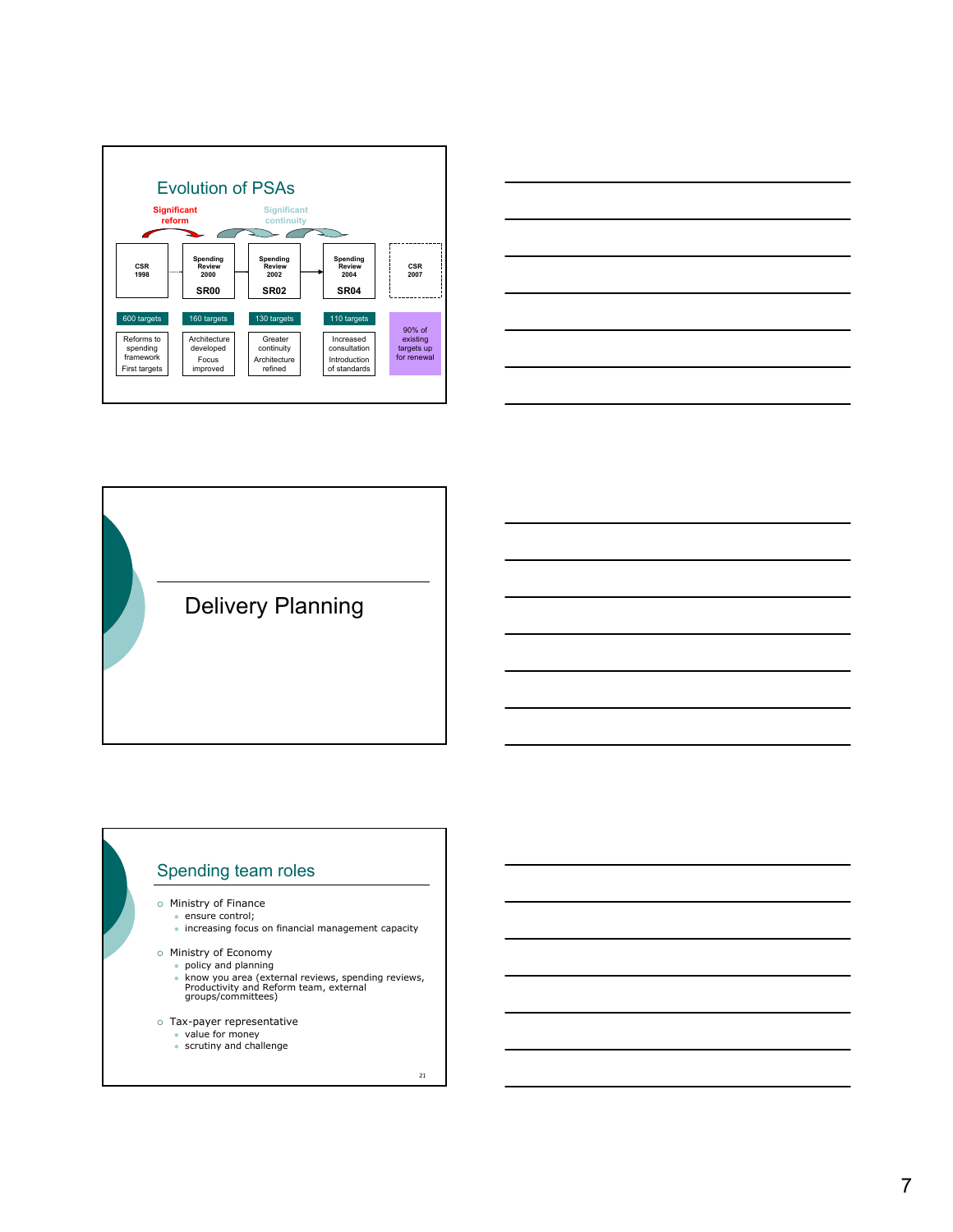



Delivery Planning

## Spending team roles

o Ministry of Finance

 $\cdot$  ensure control;  $\bullet$  increasing focus on financial management capacity

o Ministry of Economy

• policy and planning

- know you area (external reviews, spending reviews,<br>Productivity and Reform team, external<br>groups/committees)
- { Tax-payer representative <sup>z</sup> value for money
	-
	- $\bullet$  scrutiny and challenge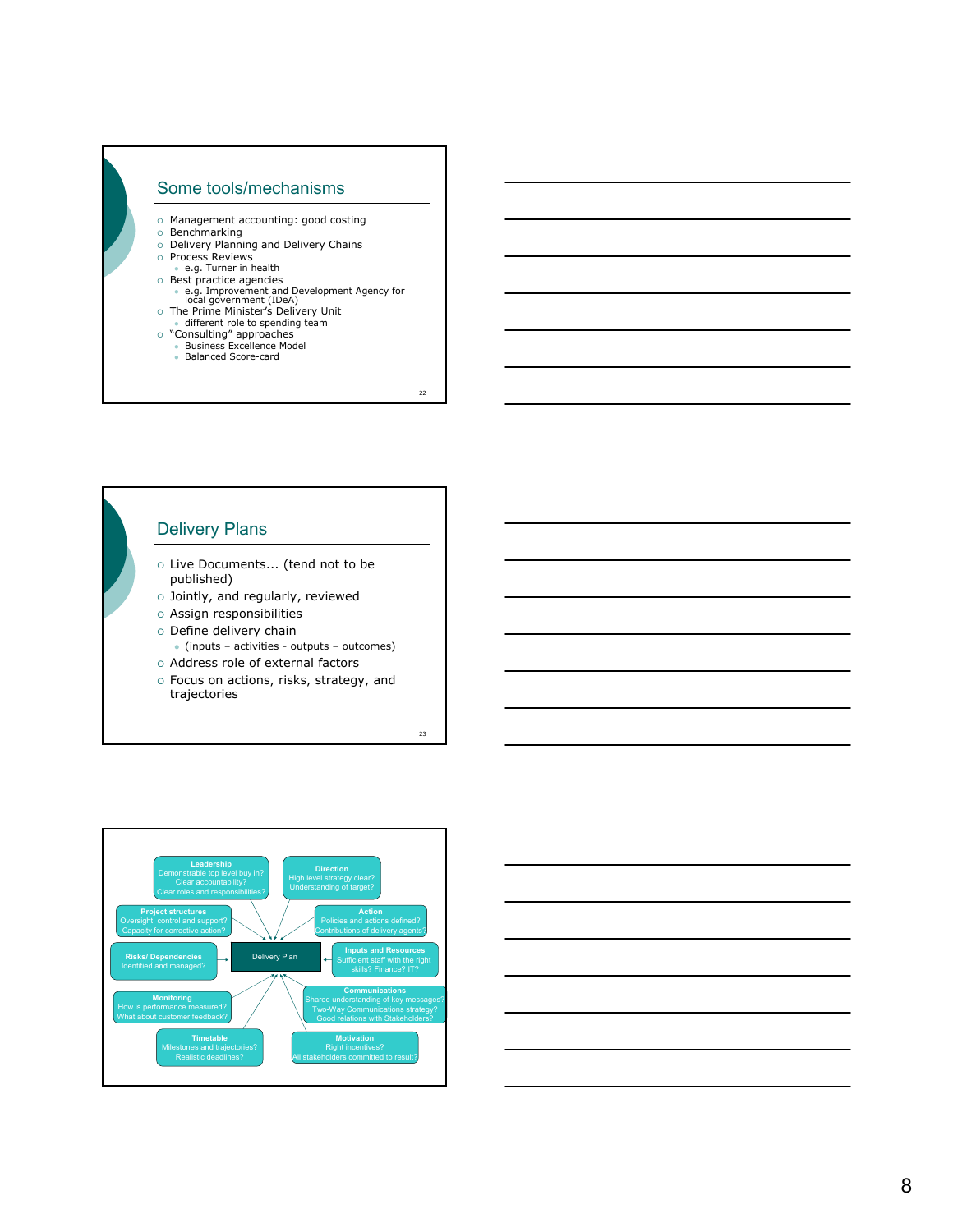

- 
- 
- 
- 
- 
- o Management accounting: good costing<br>
o Delivery Planning and Delivery Chains<br>
o Process Reviews<br>
 e.g. Turner in health<br>
o Best practice agencies<br>
 e.g. Improvement and Development Agency for<br>
 e.g. Improvement (IDeA
- o The Prime Minister's Delivery Unit
- 
- different role to spending team<br>© "Consulting" approaches<br>• Business Excellence Model
	- Balanced Score-card

22

## Delivery Plans

- o Live Documents... (tend not to be published)
- $\circ$  Jointly, and regularly, reviewed
- $\circ$  Assign responsibilities
- $\circ$  Define delivery chain
- (inputs activities outputs outcomes)
- o Address role of external factors
- o Focus on actions, risks, strategy, and trajectories



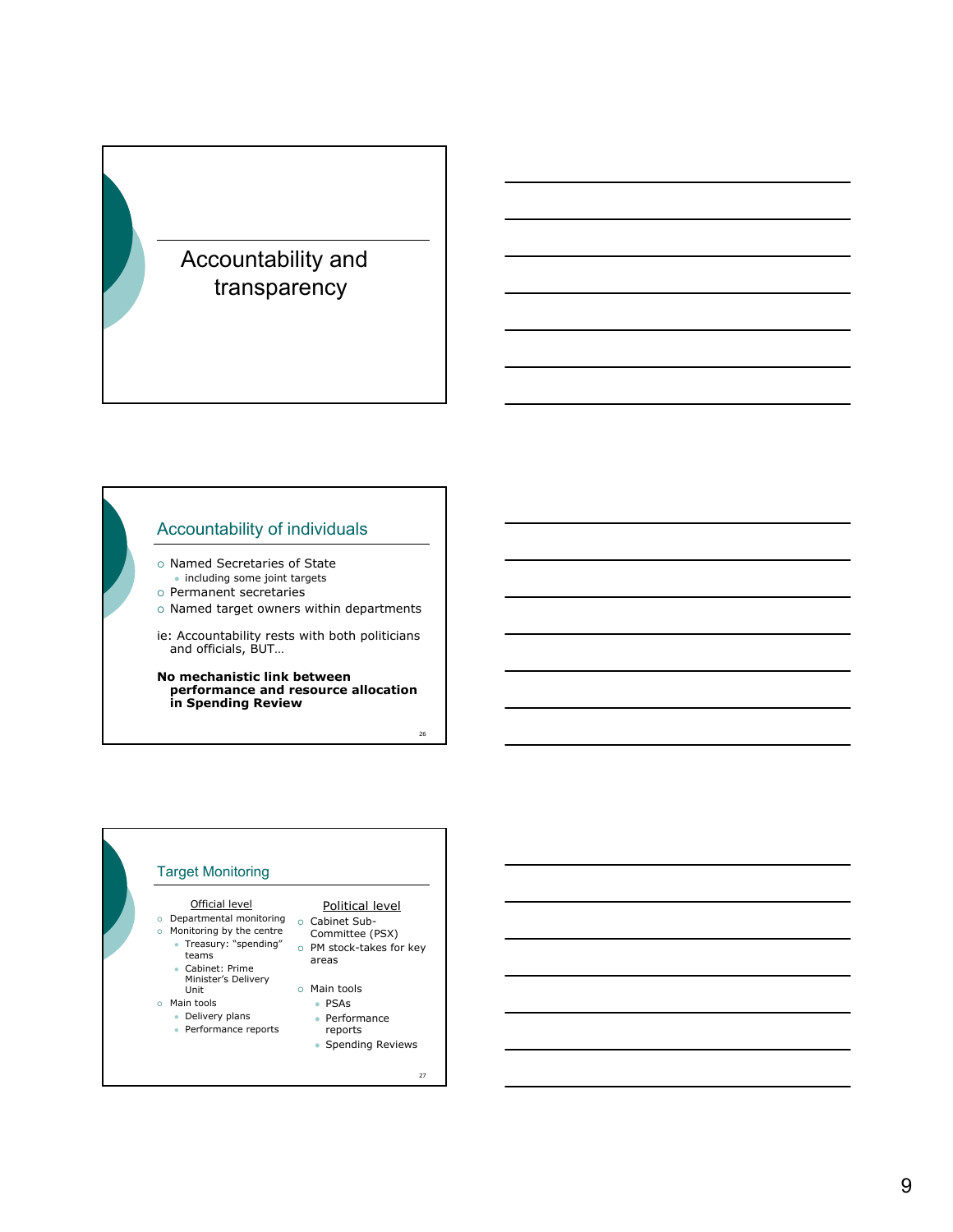# Accountability and transparency

## Accountability of individuals

- o Named Secretaries of State • including some joint targets
- { Permanent secretaries
- $\circ$  Named target owners within departments
- ie: Accountability rests with both politicians and officials, BUT…

**No mechanistic link between performance and resource allocation in Spending Review**

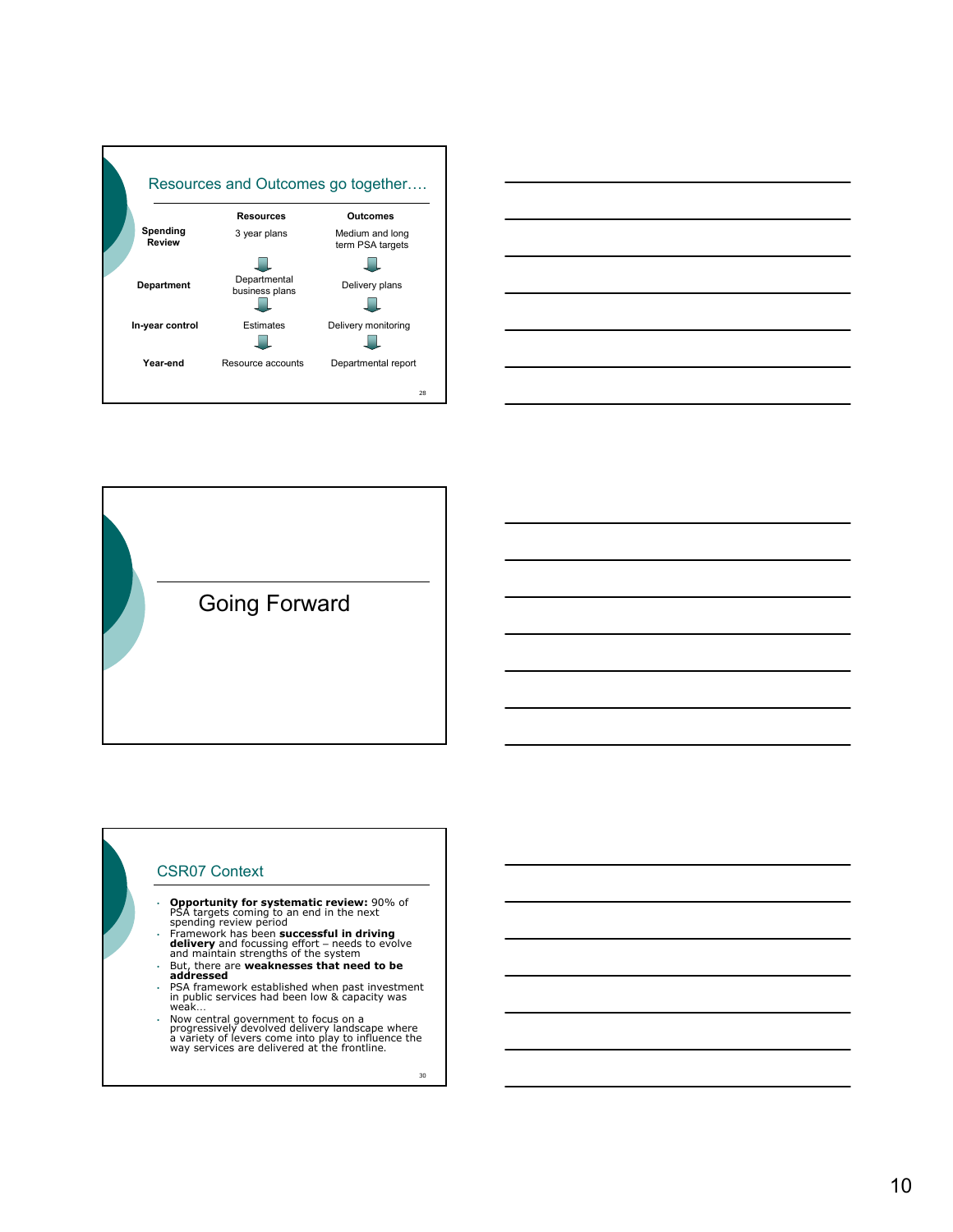



Going Forward

### CSR07 Context

- **Opportunity for systematic review:** 90% of PSA targets coming to an end in the next spending review period
- Framework has been **successful in driving**<br> **delivery** and focussing effort needs to evolve<br>
and maintain strengths of the system
- 
- But, there are **weaknesses that need to be addressed** PSA framework established when past investment in public services had been low & capacity was weak…
- Now central government to focus on a progressively devolved delivery landscape where a variety of levers come into play to influence the way services are delivered at the frontline.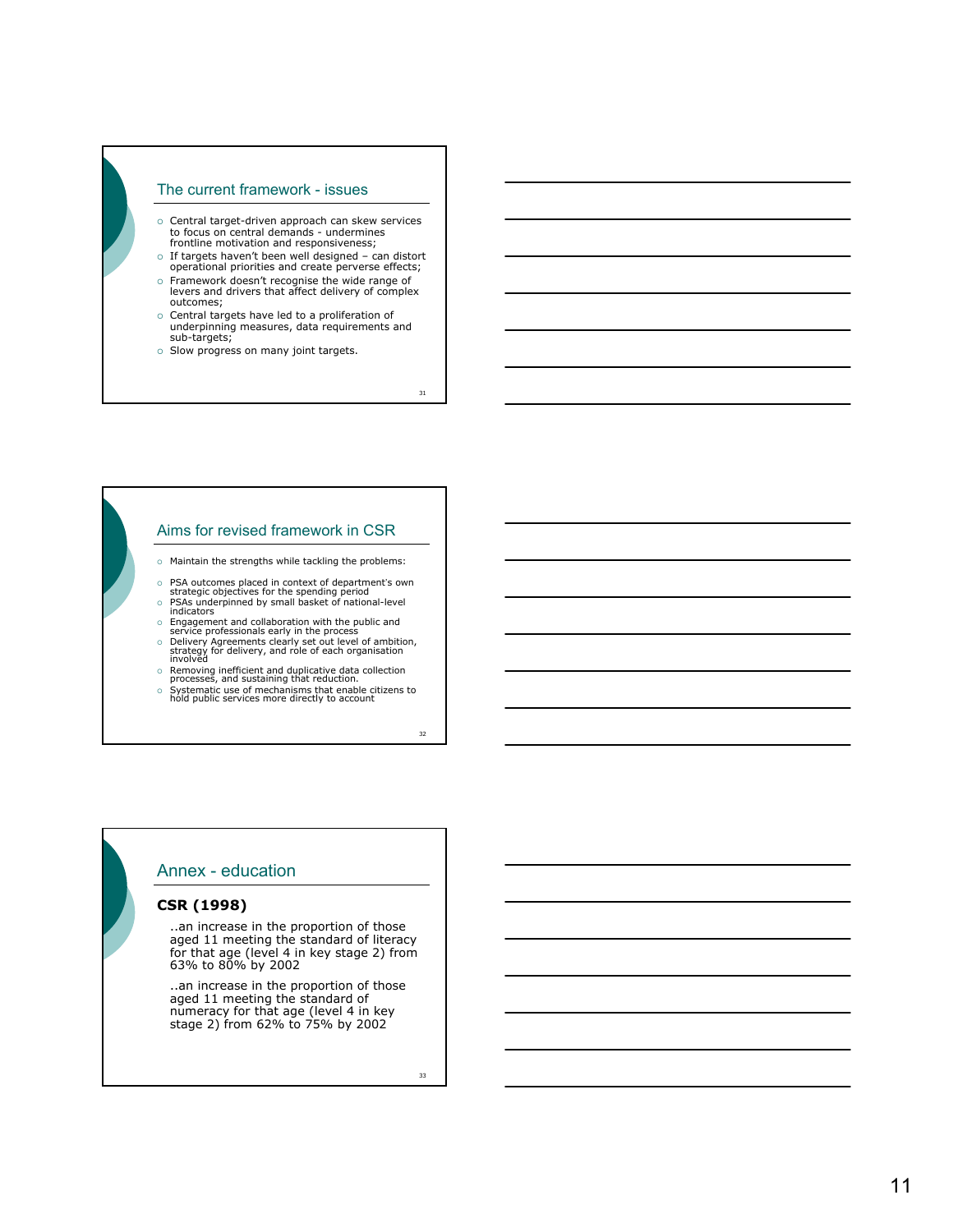### The current framework - issues

- $\circ$  Central target-driven approach can skew services to focus on central demands - undermines frontline motivation and responsiveness;
- { If targets haven't been well designed can distort operational priorities and create perverse effects;
- { Framework doesn't recognise the wide range of levers and drivers that affect delivery of complex outcomes;
- o Central targets have led to a proliferation of<br>underpinning measures, data requirements and<br>sub-targets;
- $\circ$  Slow progress on many joint targets.

31

### Aims for revised framework in CSR

- $\circ$  Maintain the strengths while tackling the problems:
- o PSA outcomes placed in context of department's own strategic objectives for the spending period<br>o PSAs underpinned by small basket of national-level<br>indicators
- 
- 
- © Engagement and collaboration with the public and<br>service professionals early in the process<br>o Delivery Agreements clearly set out level of ambition,<br>strategy for delivery, and role of each organisation<br>involved
- 
- o Removing inefficient and duplicative data collection<br>processes, and sustaining that reduction.<br>Systematic use of mechanisms that enable citizens to<br>hold public services more directly to account

## Annex - education

### **CSR (1998)**

..an increase in the proportion of those aged 11 meeting the standard of literacy for that age (level 4 in key stage 2) from 63% to 80% by 2002

• ..an increase in the proportion of those aged 11 meeting the standard of numeracy for that age (level 4 in key stage 2) from 62% to 75% by 2002